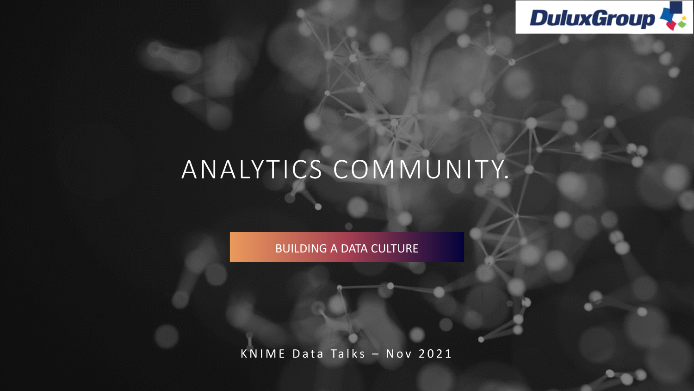

## ANALYTICS COMMUNITY.

BUILDING A DATA CULTURE

K N I M E D at a Talks  $-$  N ov 2021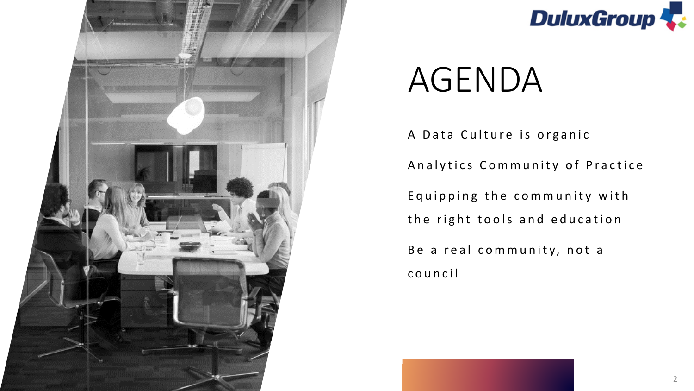



# AGENDA

A Data Culture is organic Analytics Community of Practice Equipping the community with the right tools and education Be a real community, not a c o u n c i l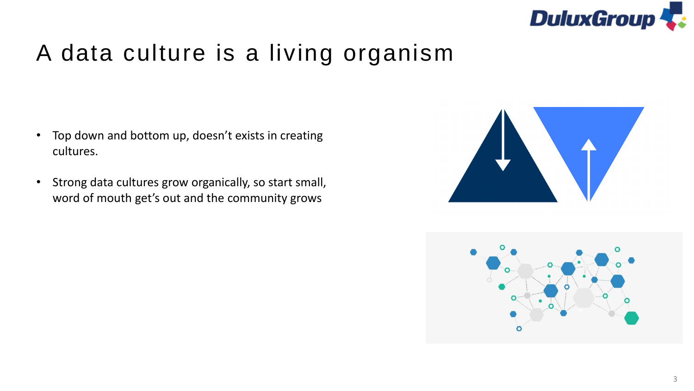

### A data culture is a living organism

- Top down and bottom up, doesn't exists in creating cultures.
- Strong data cultures grow organically, so start small, word of mouth get's out and the community grows



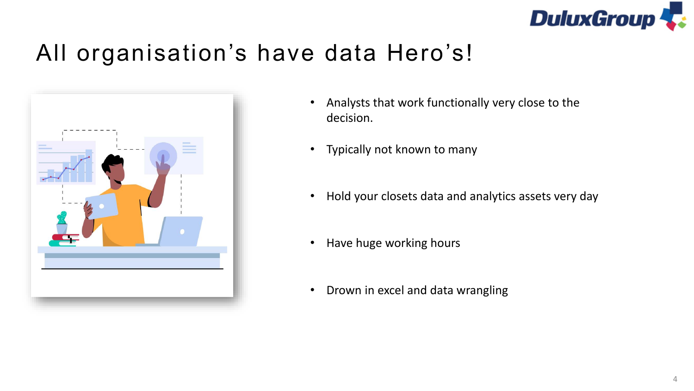

### All organisation's have data Hero's!



- Analysts that work functionally very close to the decision.
- Typically not known to many
- Hold your closets data and analytics assets very day
- Have huge working hours
- Drown in excel and data wrangling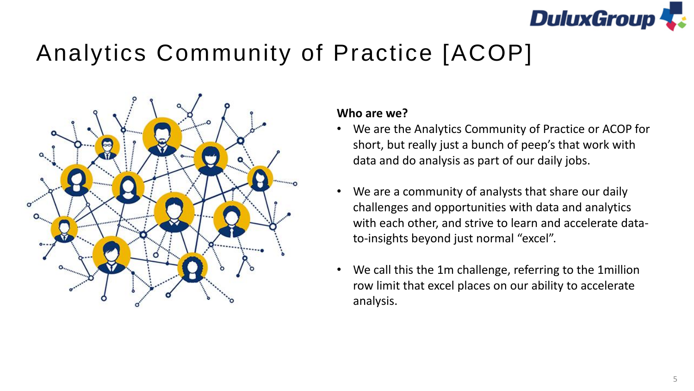

### Analytics Community of Practice [ACOP]



#### **Who are we?**

- We are the Analytics Community of Practice or ACOP for short, but really just a bunch of peep's that work with data and do analysis as part of our daily jobs.
- We are a community of analysts that share our daily challenges and opportunities with data and analytics with each other, and strive to learn and accelerate datato-insights beyond just normal "excel".
- We call this the 1m challenge, referring to the 1million row limit that excel places on our ability to accelerate analysis.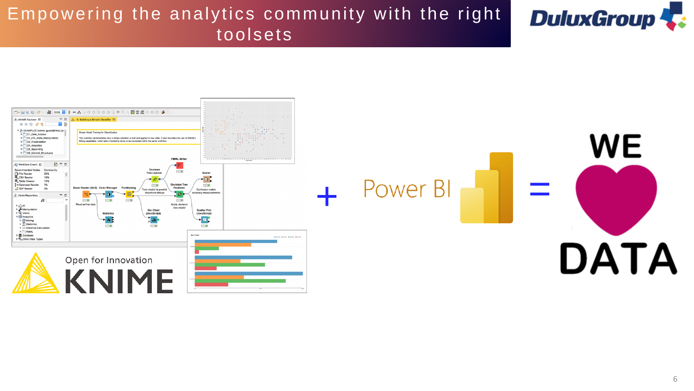### Empowering the analytics community with the right toolsets





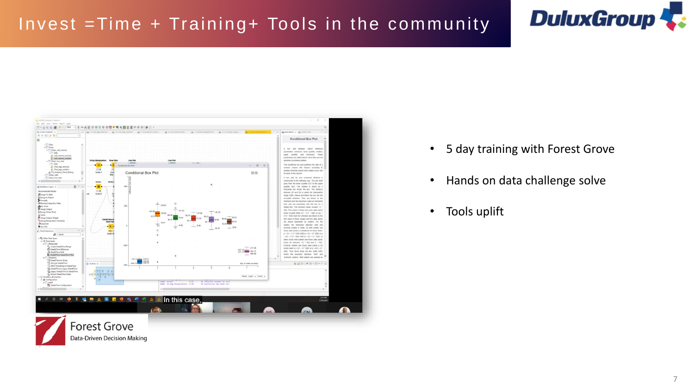### Invest =Time + Training+ Tools in the community





- 5 day training with Forest Grove
- Hands on data challenge solve
- Tools uplift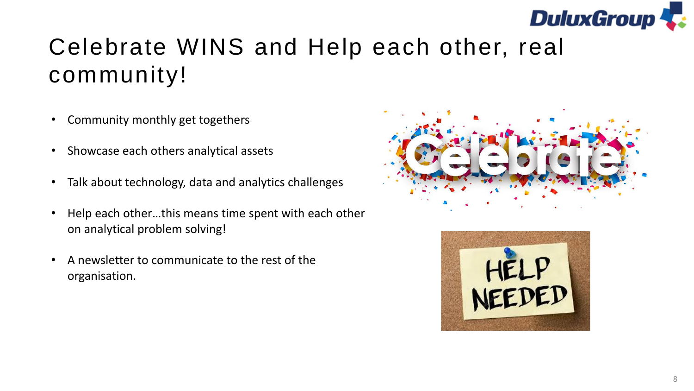

## Celebrate WINS and Help each other, real community!

- Community monthly get togethers
- Showcase each others analytical assets
- Talk about technology, data and analytics challenges
- Help each other…this means time spent with each other on analytical problem solving!
- A newsletter to communicate to the rest of the organisation.